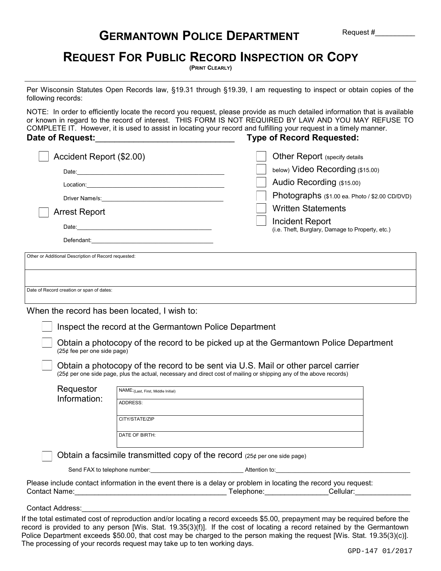### **GERMANTOWN POLICE DEPARTMENT**

# **REQUEST FOR PUBLIC RECORD INSPECTION OR COPY**

**(PRINT CLEARLY)**

Per Wisconsin Statutes Open Records law, §19.31 through §19.39, I am requesting to inspect or obtain copies of the following records:

NOTE: In order to efficiently locate the record you request, please provide as much detailed information that is available or known in regard to the record of interest. THIS FORM IS NOT REQUIRED BY LAW AND YOU MAY REFUSE TO COMPLETE IT. However, it is used to assist in locating your record and fulfilling your request in a timely manner. **Date of Request:**\_\_\_\_\_\_\_\_\_\_\_\_\_\_\_\_\_\_\_\_\_\_\_\_\_\_\_\_\_ **Type of Record Requested:**

| Accident Report (\$2.00)                             |                                                                                                                                                                                                                                | Other Report (specify details                                                                                                                                                                                                                                                                    |  |
|------------------------------------------------------|--------------------------------------------------------------------------------------------------------------------------------------------------------------------------------------------------------------------------------|--------------------------------------------------------------------------------------------------------------------------------------------------------------------------------------------------------------------------------------------------------------------------------------------------|--|
|                                                      |                                                                                                                                                                                                                                | below) Video Recording (\$15.00)                                                                                                                                                                                                                                                                 |  |
|                                                      |                                                                                                                                                                                                                                | Audio Recording (\$15.00)                                                                                                                                                                                                                                                                        |  |
|                                                      |                                                                                                                                                                                                                                | Photographs (\$1.00 ea. Photo / \$2.00 CD/DVD)                                                                                                                                                                                                                                                   |  |
| <b>Arrest Report</b>                                 |                                                                                                                                                                                                                                | <b>Written Statements</b>                                                                                                                                                                                                                                                                        |  |
|                                                      |                                                                                                                                                                                                                                | <b>Incident Report</b><br>(i.e. Theft, Burglary, Damage to Property, etc.)                                                                                                                                                                                                                       |  |
|                                                      | Defendant: National Contract of the Contract of the Contract of the Contract of the Contract of the Contract of the Contract of the Contract of the Contract of the Contract of the Contract of the Contract of the Contract o |                                                                                                                                                                                                                                                                                                  |  |
| Other or Additional Description of Record requested: |                                                                                                                                                                                                                                |                                                                                                                                                                                                                                                                                                  |  |
|                                                      |                                                                                                                                                                                                                                |                                                                                                                                                                                                                                                                                                  |  |
| Date of Record creation or span of dates:            |                                                                                                                                                                                                                                |                                                                                                                                                                                                                                                                                                  |  |
| (25¢ fee per one side page)                          |                                                                                                                                                                                                                                | Obtain a photocopy of the record to be picked up at the Germantown Police Department<br>Obtain a photocopy of the record to be sent via U.S. Mail or other parcel carrier<br>(25¢ per one side page, plus the actual, necessary and direct cost of mailing or shipping any of the above records) |  |
| Requestor<br>Information:                            | NAME: (Last, First, Middle Initial)                                                                                                                                                                                            |                                                                                                                                                                                                                                                                                                  |  |
|                                                      | ADDRESS:                                                                                                                                                                                                                       |                                                                                                                                                                                                                                                                                                  |  |
|                                                      | CITY/STATE/ZIP                                                                                                                                                                                                                 |                                                                                                                                                                                                                                                                                                  |  |
|                                                      | DATE OF BIRTH:                                                                                                                                                                                                                 |                                                                                                                                                                                                                                                                                                  |  |
|                                                      |                                                                                                                                                                                                                                | Obtain a facsimile transmitted copy of the record $(25¢$ per one side page)                                                                                                                                                                                                                      |  |
|                                                      |                                                                                                                                                                                                                                |                                                                                                                                                                                                                                                                                                  |  |
|                                                      |                                                                                                                                                                                                                                | Please include contact information in the event there is a delay or problem in locating the record you request:<br>Contact Name: Contact Name: Contact Name: Contact Name: Contact Name: Contact Name: Contact Name: Contact Name:                                                               |  |
|                                                      |                                                                                                                                                                                                                                |                                                                                                                                                                                                                                                                                                  |  |
|                                                      |                                                                                                                                                                                                                                | If the total estimated cost of reproduction and/or locating a record exceeds \$5.00, prepayment may be required before the                                                                                                                                                                       |  |

Police Department exceeds \$50.00, that cost may be charged to the person making the request [Wis. Stat. 19.35(3)(c)].

The processing of your records request may take up to ten working days.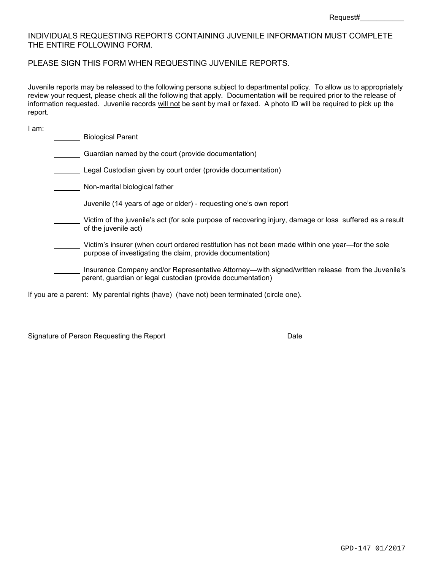### INDIVIDUALS REQUESTING REPORTS CONTAINING JUVENILE INFORMATION MUST COMPLETE THE ENTIRE FOLLOWING FORM.

#### PLEASE SIGN THIS FORM WHEN REQUESTING JUVENILE REPORTS.

Juvenile reports may be released to the following persons subject to departmental policy. To allow us to appropriately review your request, please check all the following that apply. Documentation will be required prior to the release of information requested. Juvenile records will not be sent by mail or faxed. A photo ID will be required to pick up the report.

| l am: |                                                                                                                                                                 |
|-------|-----------------------------------------------------------------------------------------------------------------------------------------------------------------|
|       | <b>Biological Parent</b>                                                                                                                                        |
|       | Guardian named by the court (provide documentation)                                                                                                             |
|       | Legal Custodian given by court order (provide documentation)                                                                                                    |
|       | Non-marital biological father                                                                                                                                   |
|       | Juvenile (14 years of age or older) - requesting one's own report                                                                                               |
|       | Victim of the juvenile's act (for sole purpose of recovering injury, damage or loss suffered as a result<br>of the juvenile act)                                |
|       | Victim's insurer (when court ordered restitution has not been made within one year—for the sole<br>purpose of investigating the claim, provide documentation)   |
|       | Insurance Company and/or Representative Attorney—with signed/written release from the Juvenile's<br>parent, guardian or legal custodian (provide documentation) |
|       | If you are a parent: My parental rights (have) (have not) been terminated (circle one).                                                                         |

Signature of Person Requesting the Report **Date** Date

 $\overline{1}$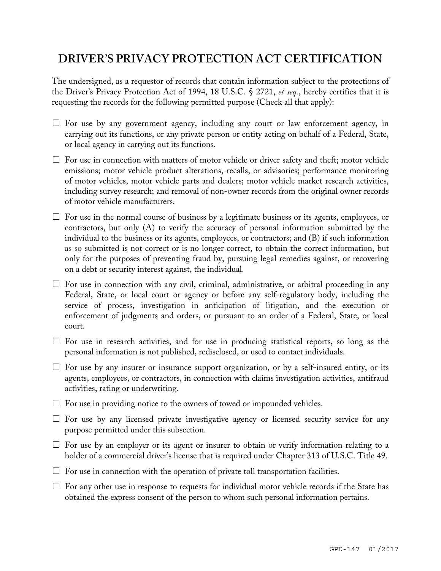# **DRIVER'S PRIVACY PROTECTION ACT CERTIFICATION**

The undersigned, as a requestor of records that contain information subject to the protections of the Driver's Privacy Protection Act of 1994, 18 U.S.C. § 2721, *et seq.*, hereby certifies that it is requesting the records for the following permitted purpose (Check all that apply):

- $\Box$  For use by any government agency, including any court or law enforcement agency, in carrying out its functions, or any private person or entity acting on behalf of a Federal, State, or local agency in carrying out its functions.
- $\Box$  For use in connection with matters of motor vehicle or driver safety and theft; motor vehicle emissions; motor vehicle product alterations, recalls, or advisories; performance monitoring of motor vehicles, motor vehicle parts and dealers; motor vehicle market research activities, including survey research; and removal of non-owner records from the original owner records of motor vehicle manufacturers.
- $\Box$  For use in the normal course of business by a legitimate business or its agents, employees, or contractors, but only (A) to verify the accuracy of personal information submitted by the individual to the business or its agents, employees, or contractors; and (B) if such information as so submitted is not correct or is no longer correct, to obtain the correct information, but only for the purposes of preventing fraud by, pursuing legal remedies against, or recovering on a debt or security interest against, the individual.
- $\Box$  For use in connection with any civil, criminal, administrative, or arbitral proceeding in any Federal, State, or local court or agency or before any self-regulatory body, including the service of process, investigation in anticipation of litigation, and the execution or enforcement of judgments and orders, or pursuant to an order of a Federal, State, or local court.
- $\Box$  For use in research activities, and for use in producing statistical reports, so long as the personal information is not published, redisclosed, or used to contact individuals.
- $\Box$  For use by any insurer or insurance support organization, or by a self-insured entity, or its agents, employees, or contractors, in connection with claims investigation activities, antifraud activities, rating or underwriting.
- $\Box$  For use in providing notice to the owners of towed or impounded vehicles.
- $\Box$  For use by any licensed private investigative agency or licensed security service for any purpose permitted under this subsection.
- $\Box$  For use by an employer or its agent or insurer to obtain or verify information relating to a holder of a commercial driver's license that is required under Chapter 313 of U.S.C. Title 49.
- $\Box$  For use in connection with the operation of private toll transportation facilities.
- $\Box$  For any other use in response to requests for individual motor vehicle records if the State has obtained the express consent of the person to whom such personal information pertains.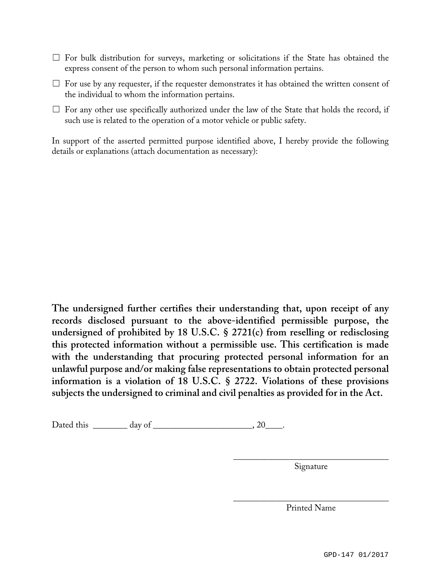- $\Box$  For bulk distribution for surveys, marketing or solicitations if the State has obtained the express consent of the person to whom such personal information pertains.
- $\Box$  For use by any requester, if the requester demonstrates it has obtained the written consent of the individual to whom the information pertains.
- $\Box$  For any other use specifically authorized under the law of the State that holds the record, if such use is related to the operation of a motor vehicle or public safety.

In support of the asserted permitted purpose identified above, I hereby provide the following details or explanations (attach documentation as necessary):

**The undersigned further certifies their understanding that, upon receipt of any records disclosed pursuant to the above-identified permissible purpose, the undersigned of prohibited by 18 U.S.C. § 2721(c) from reselling or redisclosing this protected information without a permissible use. This certification is made with the understanding that procuring protected personal information for an unlawful purpose and/or making false representations to obtain protected personal information is a violation of 18 U.S.C. § 2722. Violations of these provisions subjects the undersigned to criminal and civil penalties as provided for in the Act.**

Dated this \_\_\_\_\_\_\_\_\_ day of \_\_\_\_\_\_\_\_\_\_\_\_\_\_\_\_\_\_\_\_\_\_\_, 20\_\_\_\_.

\_\_\_\_\_\_\_\_\_\_\_\_\_\_\_\_\_\_\_\_\_\_\_\_\_\_\_\_\_\_\_\_\_\_\_\_ Signature

\_\_\_\_\_\_\_\_\_\_\_\_\_\_\_\_\_\_\_\_\_\_\_\_\_\_\_\_\_\_\_\_\_\_\_\_ Printed Name